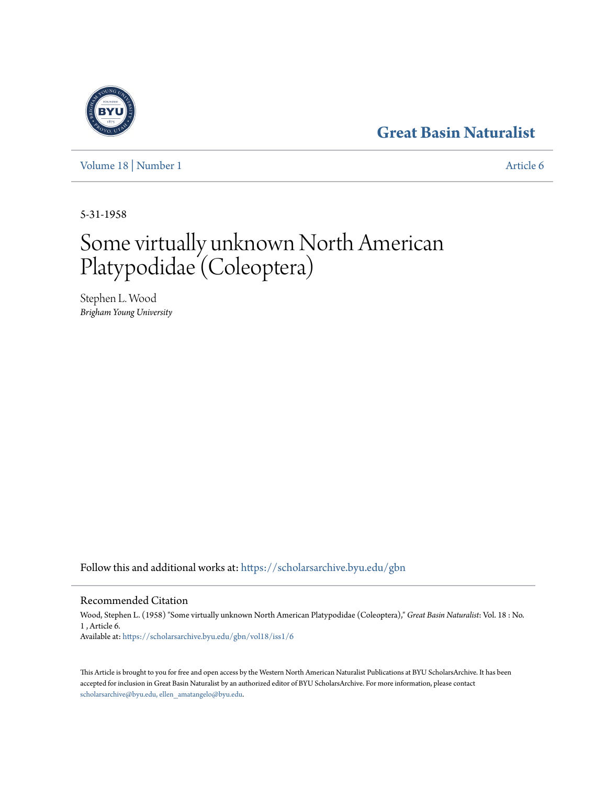# **[Great Basin Naturalist](https://scholarsarchive.byu.edu/gbn?utm_source=scholarsarchive.byu.edu%2Fgbn%2Fvol18%2Fiss1%2F6&utm_medium=PDF&utm_campaign=PDFCoverPages)**

[Volume 18](https://scholarsarchive.byu.edu/gbn/vol18?utm_source=scholarsarchive.byu.edu%2Fgbn%2Fvol18%2Fiss1%2F6&utm_medium=PDF&utm_campaign=PDFCoverPages) | [Number 1](https://scholarsarchive.byu.edu/gbn/vol18/iss1?utm_source=scholarsarchive.byu.edu%2Fgbn%2Fvol18%2Fiss1%2F6&utm_medium=PDF&utm_campaign=PDFCoverPages) [Article 6](https://scholarsarchive.byu.edu/gbn/vol18/iss1/6?utm_source=scholarsarchive.byu.edu%2Fgbn%2Fvol18%2Fiss1%2F6&utm_medium=PDF&utm_campaign=PDFCoverPages)

5-31-1958

# Some virtually unknown North American Platypodidae (Coleoptera)

Stephen L. Wood *Brigham Young University*

Follow this and additional works at: [https://scholarsarchive.byu.edu/gbn](https://scholarsarchive.byu.edu/gbn?utm_source=scholarsarchive.byu.edu%2Fgbn%2Fvol18%2Fiss1%2F6&utm_medium=PDF&utm_campaign=PDFCoverPages)

## Recommended Citation

Wood, Stephen L. (1958) "Some virtually unknown North American Platypodidae (Coleoptera)," *Great Basin Naturalist*: Vol. 18 : No. 1 , Article 6. Available at: [https://scholarsarchive.byu.edu/gbn/vol18/iss1/6](https://scholarsarchive.byu.edu/gbn/vol18/iss1/6?utm_source=scholarsarchive.byu.edu%2Fgbn%2Fvol18%2Fiss1%2F6&utm_medium=PDF&utm_campaign=PDFCoverPages)

This Article is brought to you for free and open access by the Western North American Naturalist Publications at BYU ScholarsArchive. It has been accepted for inclusion in Great Basin Naturalist by an authorized editor of BYU ScholarsArchive. For more information, please contact [scholarsarchive@byu.edu, ellen\\_amatangelo@byu.edu.](mailto:scholarsarchive@byu.edu,%20ellen_amatangelo@byu.edu)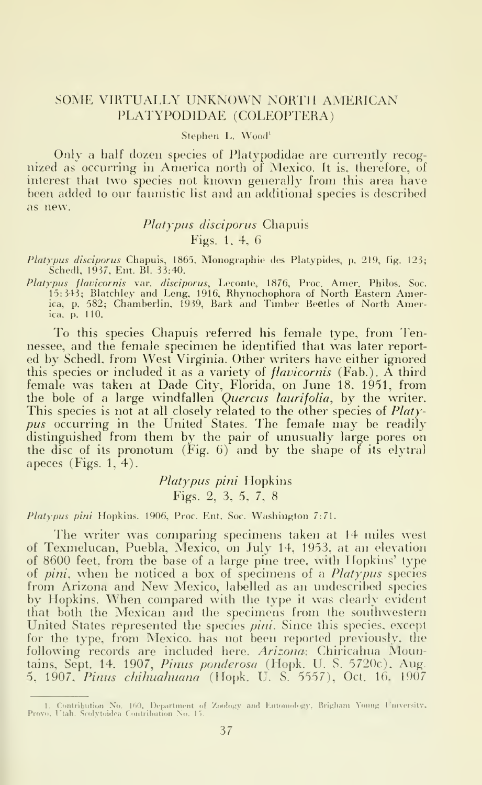#### SOME VIRTUALLY UNKNOWN NORTH AMERICAN PLATYPODIDAE (COLEOPTERA)

Stephen L. Wood'

Only a half dozen species of Platypodidae are currently recognized as occurring in America north of Mexico. It is, therefore, of interest that two species not known generally from this area have been added to our faunistic list and an additional species is described as new.

### Platypus disciporus Chapuis Figs. 1. 4. 6

Platypus disciporus Chapuis, 1865, Monographie des Platypides, p. 219, fig. 123;<br>Schedl, 1937, Ent. Bl. 33:40. Schedl. 1937. Ent. Bl. 33:40.

Platypus flavicornis var. disciporus, Leconte, 1876, Proc. Ainer. Philos. Soc. 15:343; Blatchley and Leng. 1916, Rhynochophora of North Eastern America, p. 582; Chamberlin. 1939, Bark and Timber Beetles of North Amer-ica, p. 110.

To this species Chapuis referred his female type, from Tennessee, and the female specimen he identified that was later reported by Schedl, from West Virginia. Other writers have either ignored this species or included it as a variety of *flavicornis* (Fab.). A third female was taken at Dade City, Florida, on June 18. 1951, from the bole of a large windfallen *Quercus laurifolia*, by the writer.  $\qquad$ This species is not at all closely related to the other species of *Platy*pus occurring in the United States. The female may be readily distinguished from them by the pair of unusually large pores on the disc of its pronotum (Fig. 6) and by the shape of its elytral apeces (Figs. 1, 4).

#### Platypus pini Hopkins Figs. 2, 3, 5, 7, 8

Platypus pini Hopkins, 1906, Proc. Ent. Soc. Washington 7:71.

The writer was comparing specimens taken at 14 miles west of Texmelucan, Puebla, Mexico, on July 14, 1953, at an elevation of 8600 feet, from the base of a large pine tree, with <sup>1</sup> lopkins' type of pini, when he noticed a box of specimens of a Platypus species from Arizona and New Mexico, labelled as an undescribed species by Hopkins. When compared with the type it was clearly evident that both the Mexican and the specimens from the southwestern United States represented the species pini. Since this species, except for the type, from Mexico, has not been reported previously, the following records are included here. Arizona: Chiricahua Mountains, Sept. 14. 1907, Pinus ponderosa (Hopk. U. S. 5720c), Aug. 5, 1907. Pinus chihuahuana (Hopk. U. S. 5557), Oct. 16, 1907

<sup>1.</sup> Contribution No. 160, Department of Zoology and Entomology, Brigham Young University, (2001)<br>Provo, Utah. Scolytoidea Contribution No. 15.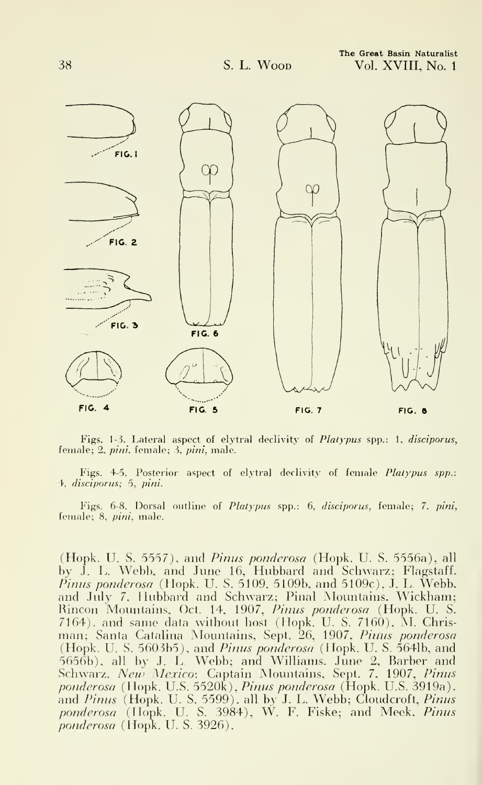

Figs. 1-3. Lateral aspect of elytral declivity of Platypus spp.: 1. disciporus, female; 2, pini, female; 3, pini, male.

Figs. 4-5. Posterior aspect of elytral declivity of female Platypus spp.: 4, disciporus; 5, pini.

Figs. 6-8. Dorsal outline of Platypus spp.: 6, disciporus, female; 7, pini, female; 8, *pini*, male.

(Hopk. U. S. 5557), and Pinus ponderosa (Hopk. U. S. 5556a), all by J. L. Webb, and June 16, Hubbard and Schwarz; Flagstaff.  $\tilde{P}_{H1}$  ponderosa (Hopk. U. S. 5109, 5109b, and 5109c), J. L. Webb, and July 7, Hubbard and Schwarz; Pinal Mountains. Wickham; Rincon Mountains, Oct. 14, 1907, Pinus ponderosa (Hopk. U. S. 7164), and same data without host (Hopk. U. S. 7160), M. Chrisman; Santa Catalina Mountains, Sept. 26, 1907, Pinus ponderosa (Hopk. U. S. 5603b5), and *Pinus ponderosa* (Hopk. U. S. 564lb, and 5656b), all by J. L Webb; and Williams. June 2, Barber and Schwarz. New Mexico: Captain Mountains, Sept. 7, 1907, Pinus ponderosa (Hopk. U.S. 5520k), Pinus ponderosa (Hopk. U.S. 3919a). and *Pinus* (Hopk. U. S. 5599), all by J. L. Webb; Cloudcroft, *Pinus* – 1 ponderosa (Hopk. U. S. 3984), W. F. Fiske; and Meek, Pinus ponderosa (Hopk. U. S. 3926).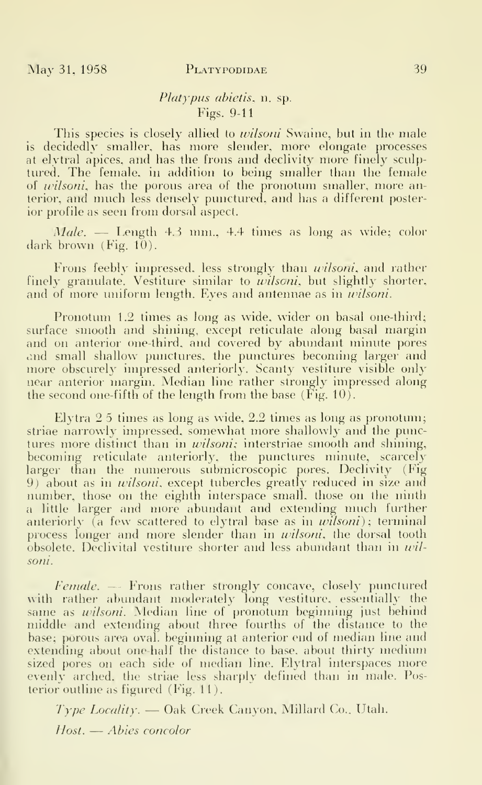#### May 31, 1958 PLATYPODIDAE 39

#### Platypus abietis, n. sp. Figs. 9-11

This species is closely allied to *wilsoni* Swaine, but in the male is decidedly smaller, has more slender, more elongate processes at elytral apices, and has the frons and declivity more finely sculptured. The female, in addition to being smaller than the female of *wilsoni*, has the porous area of the pronotum smaller, more anterior, and much less densely punctured, and has <sup>a</sup> different posterior profile as seen from dorsal aspect.

 $Male.$  — Length 4.3 mm., 4.4 times as long as wide; color dark brown (Fig. 10).

Frons feebly impressed, less strongly than *wilsoni*, and rather finely granulate. Vestiture similar to *wilsoni*, but slightly shorter, and of more uniform length. Eyes and antennae as in *wilsoni*.

Pronotum 1.2 times as long as wide, wider on basal one-third; surface smooth and shining, except reticulate along basal margin and on anterior one-third, and covered by abundant minute pores and small shallow punctures, the punctures becoming larger and more obscurely impressed anteriorly. Scanty vestiture visible only near anterior margin. Median line rather strongly impressed along the second one-fifth of the length from the base (Fig. 10).

Elytra 2 5 times as long as wide, 2.2 times as long as pronotum; striae narrowly impressed, somewhat more shallowly and the punctures more distinct than in *wilsoni*; interstriae smooth and shining, becoming reticulate anteriorly, the punctures minute, scarcely larger than the numerous submicroscopic pores. Declivity (Fig. 9) about as in *wilsoni*, except tubercles greatly reduced in size and number, those on the eighth interspace small, those on the ninth a little larger and more abundant and extending much further anteriorly (a few scattered to elytral base as in  $\omega$ *lsoni*); terminal process longer and more slender than in *wilsoni*, the dorsal tooth  $\delta$ bsolete. Declivital vestiture shorter and less abundant than in wilsoni.

Female. — Frons rather strongly concave, closely punctured with rather abundant moderately long vestiture, essentially the same as wilsoni. Median line of pronotum beginning just behind middle and extending about three fourths of the distance to the base; porous area oval, beginning at anterior end of median line and extending about one-half the distance to base, about thirty medium sized pores on each side of median line. Elytral interspaces more evenly arched, the striae less sharply defined than in male. Posterior outline as figured (Fig. 11).

Type Locality. — Oak Creek Canyon, Millard Co.. Utah. Host. — Abies concolor